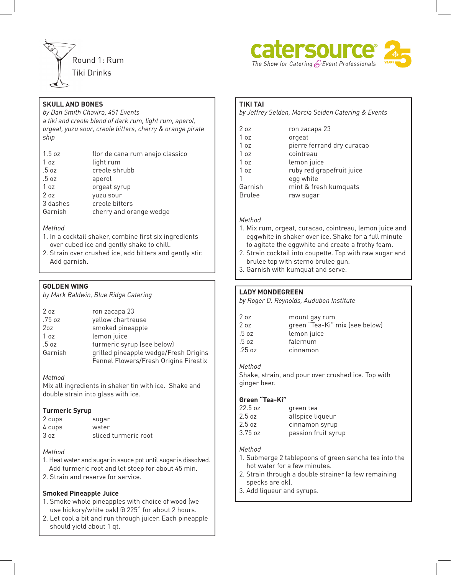



## **SKULL AND BONES**

*by Dan Smith Chavira, 451 Events a tiki and creole blend of dark rum, light rum, aperol, orgeat, yuzu sour, creole bitters, cherry & orange pirate ship*

| 1.5oz    | flor de cana rum anejo classico |
|----------|---------------------------------|
| 1 oz     | light rum                       |
| .5 oz    | creole shrubb                   |
| .5 oz    | aperol                          |
| 1 oz     | orgeat syrup                    |
| 2 oz     | yuzu sour                       |
| 3 dashes | creole bitters                  |
| Garnish  | cherry and orange wedge         |

#### *Method*

- 1. In a cocktail shaker, combine first six ingredients over cubed ice and gently shake to chill.
- 2. Strain over crushed ice, add bitters and gently stir. Add garnish.

## **GOLDEN WING**

*by Mark Baldwin, Blue Ridge Catering*

| 2oz             | ron zacapa 23                         |
|-----------------|---------------------------------------|
| .75 oz          | yellow chartreuse                     |
| 20z             | smoked pineapple                      |
| 1 <sub>oz</sub> | lemon juice                           |
| .5 oz           | turmeric syrup (see below)            |
| Garnish         | grilled pineapple wedge/Fresh Origins |
|                 | Fennel Flowers/Fresh Origins Firestix |

### *Method*

Mix all ingredients in shaker tin with ice. Shake and double strain into glass with ice.

### **Turmeric Syrup**

| 2 cups | sugar                |
|--------|----------------------|
| 4 cups | water                |
| 3 oz   | sliced turmeric root |

### *Method*

- 1. Heat water and sugar in sauce pot until sugar is dissolved. Add turmeric root and let steep for about 45 min.
- 2. Strain and reserve for service.

### **Smoked Pineapple Juice**

- 1. Smoke whole pineapples with choice of wood (we use hickory/white oak) @ 225˚ for about 2 hours.
- 2. Let cool a bit and run through juicer. Each pineapple should yield about 1 qt.

#### **TIKI TAI**

*by Jeffrey Selden, Marcia Selden Catering & Events*

| 2 oz          | ron zacapa 23              |
|---------------|----------------------------|
| 1 oz          | orgeat                     |
| 1 oz          | pierre ferrand dry curacao |
| 1 oz          | cointreau                  |
| 1 oz          | lemon juice                |
| 1 oz          | ruby red grapefruit juice  |
|               | egg white                  |
| Garnish       | mint & fresh kumquats      |
| <b>Brulee</b> | raw sugar                  |

## *Method*

- 1. Mix rum, orgeat, curacao, cointreau, lemon juice and eggwhite in shaker over ice. Shake for a full minute to agitate the eggwhite and create a frothy foam.
- 2. Strain cocktail into coupette. Top with raw sugar and brulee top with sterno brulee gun.
- 3. Garnish with kumquat and serve.

## **LADY MONDEGREEN**

*by Roger D. Reynolds, Audubon Institute*

| 2 oz  | mount gay rum                  |
|-------|--------------------------------|
| 2 oz  | green "Tea-Ki" mix (see below) |
| .5 oz | lemon juice                    |
| .5 oz | falernum                       |
| .25oz | cinnamon                       |
|       |                                |

#### *Method*

Shake, strain, and pour over crushed ice. Top with ginger beer.

### **Green "Tea-Ki"**

| 22.5 oz | green tea           |
|---------|---------------------|
| 2.5 oz  | allspice liqueur    |
| 2.5 oz  | cinnamon syrup      |
| 3.75 oz | passion fruit syrup |
|         |                     |

#### *Method*

- 1. Submerge 2 tablepoons of green sencha tea into the hot water for a few minutes.
- 2. Strain through a double strainer (a few remaining specks are ok).
- 3. Add liqueur and syrups.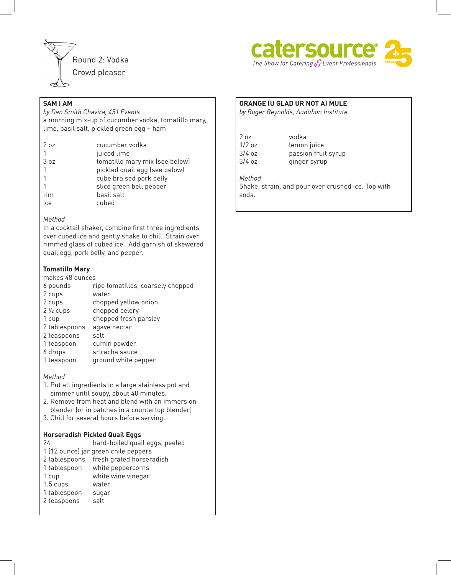



# **SAM I AM**

*by Dan Smith Chavira, 451 Events* a morning mix-up of cucumber vodka, tomatillo mary, lime, basil salt, pickled green egg + ham

| 207  | cucumber vodka                 |
|------|--------------------------------|
|      | juiced lime                    |
| 3 oz | tomatillo mary mix (see below) |
|      | pickled quail egg (see below)  |
|      | cube braised pork belly        |
|      | slice green bell pepper        |
| rim  | basil salt                     |
| ice  | cubed                          |
|      |                                |

#### *Method*

In a cocktail shaker, combine first three ingredients over cubed ice and gently shake to chill. Strain over rimmed glass of cubed ice. Add garnish of skewered quail egg, pork belly, and pepper.

## **Tomatillo Mary**

makes 48 ounces

| 6 pounds            | ripe tomatillos, coarsely chopped |
|---------------------|-----------------------------------|
| 2 cups              | water                             |
| 2 cups              | chopped yellow onion              |
| $2\frac{1}{2}$ cups | chopped celery                    |
| 1 cup               | chopped fresh parsley             |
| 2 tablespoons       | agave nectar                      |
| 2 teaspoons         | salt                              |
| 1 teaspoon          | cumin powder                      |
| 6 drops             | sriracha sauce                    |
| 1 teaspoon          | ground white pepper               |
|                     |                                   |

*Method*

- 1. Put all ingredients in a large stainless pot and simmer until soupy, about 40 minutes.
- 2. Remove from heat and blend with an immersion blender (or in batches in a countertop blender)
- 3. Chill for several hours before serving.

### **Horseradish Pickled Quail Eggs**

| 24            | hard-boiled quail eggs, peeled       |
|---------------|--------------------------------------|
|               | 1 (12 ounce) jar green chile peppers |
| 2 tablespoons | fresh grated horseradish             |
| 1 tablespoon  | white peppercorns                    |
| 1 cup         | white wine vinegar                   |
| $1.5$ cups    | water                                |
| 1 tablespoon  | sugar                                |
| 2 teaspoons   | salt                                 |
|               |                                      |

# **ORANGE (U GLAD UR NOT A) MULE**

*by Roger Reynolds, Audubon Institute*

| 2 oz     | vodka               |
|----------|---------------------|
| $1/2$ oz | lemon juice         |
| 3/4 oz   | passion fruit syrup |
| 3/4 oz   | ginger syrup        |
|          |                     |

## *Method*

Shake, strain, and pour over crushed ice. Top with soda.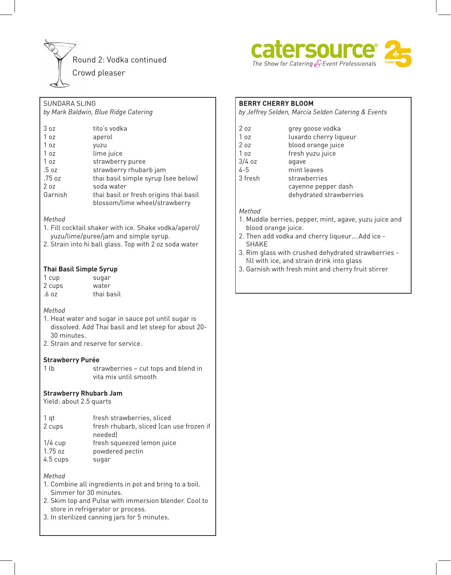



# SUNDARA SLING

*by Mark Baldwin, Blue Ridge Catering*

| 3 oz            | tito's vodka                           |
|-----------------|----------------------------------------|
| 1 oz            | aperol                                 |
| 1 oz            | yuzu                                   |
| 1 <sub>oz</sub> | lime juice                             |
| 1 oz            | strawberry puree                       |
| .5 oz           | strawberry rhubarb jam                 |
| .75 oz          | thai basil simple syrup (see below)    |
| 2oz             | soda water                             |
| Garnish         | thai basil or fresh origins thai basil |
|                 | blossom/lime wheel/strawberry          |

### *Method*

- 1. Fill cocktail shaker with ice. Shake vodka/aperol/ yuzu/lime/puree/jam and simple syrup.
- 2. Strain into hi ball glass. Top with 2 oz soda water

## **Thai Basil Simple Syrup**

| 1 cup  | sugar      |
|--------|------------|
| 2 cups | water      |
| .6 oz  | thai basil |

### *Method*

- 1. Heat water and sugar in sauce pot until sugar is dissolved. Add Thai basil and let steep for about 20- 30 minutes.
- 2. Strain and reserve for service.

#### **Strawberry Purée**

1 lb strawberries – cut tops and blend in vita mix until smooth

### **Strawberry Rhubarb Jam**

Yield: about 2.5 quarts

| $1$ qt    | fresh strawberries, sliced                          |
|-----------|-----------------------------------------------------|
| 2 cups    | fresh rhubarb, sliced (can use frozen if<br>needed) |
| $1/4$ cup | fresh squeezed lemon juice                          |
| 1.75 oz   | powdered pectin                                     |
| 4.5 cups  | sugar                                               |

*Method*

- 1. Combine all ingredients in pot and bring to a boil. Simmer for 30 minutes.
- 2. Skim top and Pulse with immersion blender. Cool to store in refrigerator or process.
- 3. In sterilized canning jars for 5 minutes.

### **BERRY CHERRY BLOOM**

*by Jeffrey Selden, Marcia Selden Catering & Events*

| 207      | grey goose vodka        |
|----------|-------------------------|
| 1 oz     | luxardo cherry liqueur  |
| 2 oz     | blood orange juice      |
| 1 oz     | fresh yuzu juice        |
| $3/4$ oz | agave                   |
| $4 - 5$  | mint leaves             |
| 3 fresh  | strawberries            |
|          | cayenne pepper dash     |
|          | dehydrated strawberries |

#### *Method*

- 1. Muddle berries, pepper, mint, agave, yuzu juice and blood orange juice.
- 2. Then add vodka and cherry liqueur….Add ice SHAKE
- 3. Rim glass with crushed dehydrated strawberries fill with ice, and strain drink into glass
- 3. Garnish with fresh mint and cherry fruit stirrer